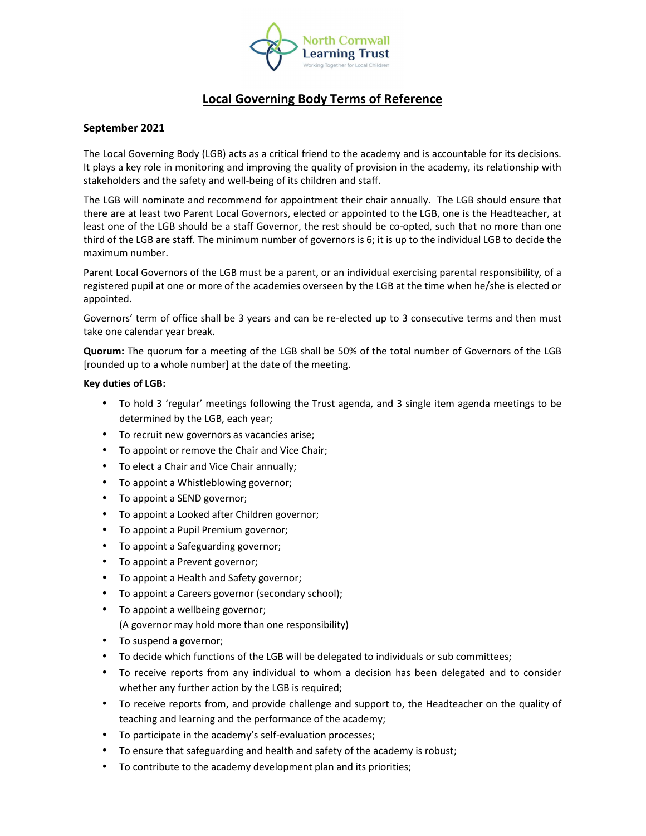

# **Local Governing Body Terms of Reference**

## **September 2021**

The Local Governing Body (LGB) acts as a critical friend to the academy and is accountable for its decisions. It plays a key role in monitoring and improving the quality of provision in the academy, its relationship with stakeholders and the safety and well-being of its children and staff.

The LGB will nominate and recommend for appointment their chair annually. The LGB should ensure that there are at least two Parent Local Governors, elected or appointed to the LGB, one is the Headteacher, at least one of the LGB should be a staff Governor, the rest should be co-opted, such that no more than one third of the LGB are staff. The minimum number of governors is 6; it is up to the individual LGB to decide the maximum number.

Parent Local Governors of the LGB must be a parent, or an individual exercising parental responsibility, of a registered pupil at one or more of the academies overseen by the LGB at the time when he/she is elected or appointed.

Governors' term of office shall be 3 years and can be re-elected up to 3 consecutive terms and then must take one calendar year break.

**Quorum:** The quorum for a meeting of the LGB shall be 50% of the total number of Governors of the LGB [rounded up to a whole number] at the date of the meeting.

### **Key duties of LGB:**

- To hold 3 'regular' meetings following the Trust agenda, and 3 single item agenda meetings to be determined by the LGB, each year;
- To recruit new governors as vacancies arise;
- To appoint or remove the Chair and Vice Chair;
- To elect a Chair and Vice Chair annually;
- To appoint a Whistleblowing governor;
- To appoint a SEND governor;
- To appoint a Looked after Children governor;
- To appoint a Pupil Premium governor;
- To appoint a Safeguarding governor;
- To appoint a Prevent governor;
- To appoint a Health and Safety governor;
- To appoint a Careers governor (secondary school);
- To appoint a wellbeing governor; (A governor may hold more than one responsibility)
- To suspend a governor;
- To decide which functions of the LGB will be delegated to individuals or sub committees;
- To receive reports from any individual to whom a decision has been delegated and to consider whether any further action by the LGB is required;
- To receive reports from, and provide challenge and support to, the Headteacher on the quality of teaching and learning and the performance of the academy;
- To participate in the academy's self-evaluation processes;
- To ensure that safeguarding and health and safety of the academy is robust;
- To contribute to the academy development plan and its priorities;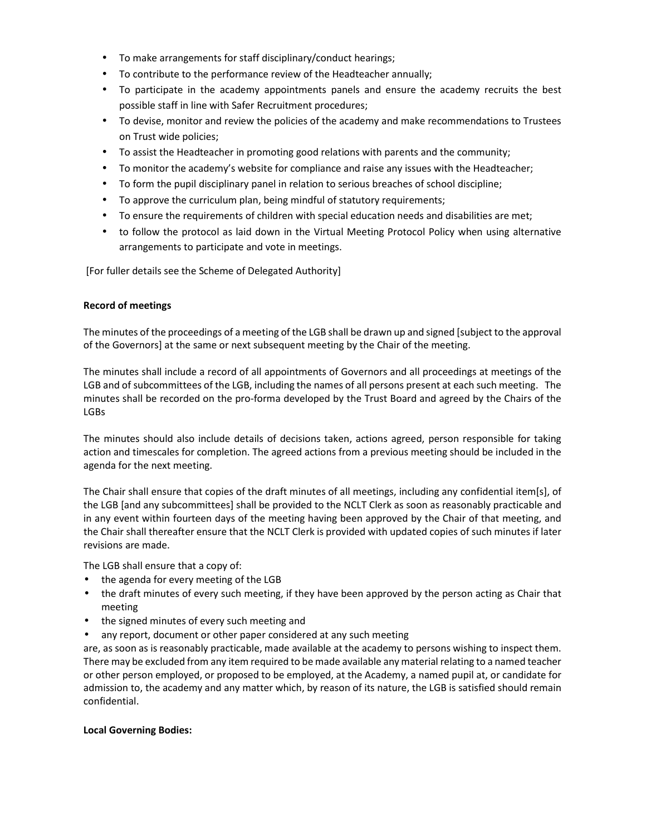- To make arrangements for staff disciplinary/conduct hearings;
- To contribute to the performance review of the Headteacher annually;
- To participate in the academy appointments panels and ensure the academy recruits the best possible staff in line with Safer Recruitment procedures;
- To devise, monitor and review the policies of the academy and make recommendations to Trustees on Trust wide policies;
- To assist the Headteacher in promoting good relations with parents and the community;
- To monitor the academy's website for compliance and raise any issues with the Headteacher;
- To form the pupil disciplinary panel in relation to serious breaches of school discipline;
- To approve the curriculum plan, being mindful of statutory requirements;
- To ensure the requirements of children with special education needs and disabilities are met;
- to follow the protocol as laid down in the Virtual Meeting Protocol Policy when using alternative arrangements to participate and vote in meetings.

[For fuller details see the Scheme of Delegated Authority]

### **Record of meetings**

The minutes of the proceedings of a meeting of the LGB shall be drawn up and signed [subject to the approval of the Governors] at the same or next subsequent meeting by the Chair of the meeting.

The minutes shall include a record of all appointments of Governors and all proceedings at meetings of the LGB and of subcommittees of the LGB, including the names of all persons present at each such meeting. The minutes shall be recorded on the pro-forma developed by the Trust Board and agreed by the Chairs of the LGBs

The minutes should also include details of decisions taken, actions agreed, person responsible for taking action and timescales for completion. The agreed actions from a previous meeting should be included in the agenda for the next meeting.

The Chair shall ensure that copies of the draft minutes of all meetings, including any confidential item[s], of the LGB [and any subcommittees] shall be provided to the NCLT Clerk as soon as reasonably practicable and in any event within fourteen days of the meeting having been approved by the Chair of that meeting, and the Chair shall thereafter ensure that the NCLT Clerk is provided with updated copies of such minutes if later revisions are made.

The LGB shall ensure that a copy of:

- the agenda for every meeting of the LGB
- the draft minutes of every such meeting, if they have been approved by the person acting as Chair that meeting
- the signed minutes of every such meeting and
- any report, document or other paper considered at any such meeting

are, as soon as is reasonably practicable, made available at the academy to persons wishing to inspect them. There may be excluded from any item required to be made available any material relating to a named teacher or other person employed, or proposed to be employed, at the Academy, a named pupil at, or candidate for admission to, the academy and any matter which, by reason of its nature, the LGB is satisfied should remain confidential.

### **Local Governing Bodies:**